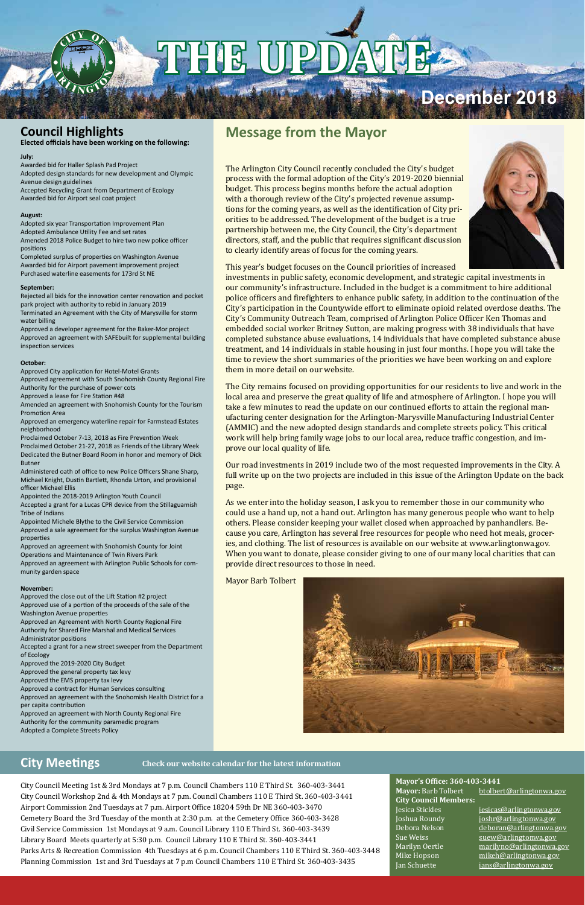City Council Meeting 1st & 3rd Mondays at 7 p.m. Council Chambers 110 E Third St. 360-403-3441 City Council Workshop 2nd & 4th Mondays at 7 p.m. Council Chambers 110 E Third St. 360-403-3441 Airport Commission 2nd Tuesdays at 7 p.m. Airport Office 18204 59th Dr NE 360-403-3470 Cemetery Board the 3rd Tuesday of the month at 2:30 p.m. at the Cemetery Office 360-403-3428 Civil Service Commission 1st Mondays at 9 a.m. Council Library 110 E Third St. 360-403-3439 Library Board Meets quarterly at 5:30 p.m. Council Library 110 E Third St. 360-403-3441 Parks Arts & Recreation Commission 4th Tuesdays at 6 p.m. Council Chambers 110 E Third St. 360-403-3448 Planning Commission 1st and 3rd Tuesdays at 7 p.m Council Chambers 110 E Third St. 360-403-3435

Jesica Stickles jesicas@arlingtonwa.gov Joshua Roundy joshr@arlingtonwa.gov Debora Nelson deboran@arlingtonwa.gov<br>Sue Weiss suew@arlingtonwa.gov Sue Weiss suew@arlingtonwa.gov Marilyn Oertle marilyno@arlingtonwa.gov Mike Hopson mikeh@arlingtonwa.gov jans@arlingtonwa.gov

### **City Meetings**

**Mayor's Office: 360-403-3441**

**City Council Members:**

Mayor: Barb Tolbert btolbert@arlingtonwa.gov

## **Message from the Mayor**

The Arlington City Council recently concluded the City's budget process with the formal adoption of the City's 2019-2020 biennial budget. This process begins months before the actual adoption with a thorough review of the City's projected revenue assumptions for the coming years, as well as the identification of City priorities to be addressed. The development of the budget is a true partnership between me, the City Council, the City's department directors, staff, and the public that requires significant discussion to clearly identify areas of focus for the coming years.



This year's budget focuses on the Council priorities of increased

investments in public safety, economic development, and strategic capital investments in our community's infrastructure. Included in the budget is a commitment to hire additional police officers and firefighters to enhance public safety, in addition to the continuation of the City's participation in the Countywide effort to eliminate opioid related overdose deaths. The City's Community Outreach Team, comprised of Arlington Police Officer Ken Thomas and embedded social worker Britney Sutton, are making progress with 38 individuals that have completed substance abuse evaluations, 14 individuals that have completed substance abuse treatment, and 14 individuals in stable housing in just four months. I hope you will take the time to review the short summaries of the priorities we have been working on and explore them in more detail on our website.

The City remains focused on providing opportunities for our residents to live and work in the local area and preserve the great quality of life and atmosphere of Arlington. I hope you will take a few minutes to read the update on our continued efforts to attain the regional manufacturing center designation for the Arlington-Marysville Manufacturing Industrial Center (AMMIC) and the new adopted design standards and complete streets policy. This critical work will help bring family wage jobs to our local area, reduce traffic congestion, and improve our local quality of life.

Our road investments in 2019 include two of the most requested improvements in the City. A full write up on the two projects are included in this issue of the Arlington Update on the back page.

As we enter into the holiday season, I ask you to remember those in our community who could use a hand up, not a hand out. Arlington has many generous people who want to help others. Please consider keeping your wallet closed when approached by panhandlers. Because you care, Arlington has several free resources for people who need hot meals, groceries, and clothing. The list of resources is available on our website at www.arlingtonwa.gov. When you want to donate, please consider giving to one of our many local charities that can provide direct resources to those in need.

#### Mayor Barb Tolbert



## **Council Highlights**

**Elected officials have been working on the following:**

#### **July:**

Awarded bid for Haller Splash Pad Project Adopted design standards for new development and Olympic Avenue design guidelines Accepted Recycling Grant from Department of Ecology

Awarded bid for Airport seal coat project

#### **August:**

Adopted six year Transportation Improvement Plan Adopted Ambulance Utility Fee and set rates Amended 2018 Police Budget to hire two new police officer positions

Completed surplus of properties on Washington Avenue Awarded bid for Airport pavement improvement project Purchased waterline easements for 173rd St NE

#### **September:**

Rejected all bids for the innovation center renovation and pocket park project with authority to rebid in January 2019 Terminated an Agreement with the City of Marysville for storm water billing

Approved a developer agreement for the Baker-Mor project Approved an agreement with SAFEbuilt for supplemental building inspection services

#### **October:**

Approved City application for Hotel-Motel Grants Approved agreement with South Snohomish County Regional Fire

Authority for the purchase of power cots Approved a lease for Fire Station #48

Amended an agreement with Snohomish County for the Tourism Promotion Area

Approved an emergency waterline repair for Farmstead Estates neighborhood

Proclaimed October 7-13, 2018 as Fire Prevention Week Proclaimed October 21-27, 2018 as Friends of the Library Week Dedicated the Butner Board Room in honor and memory of Dick Butner

Administered oath of office to new Police Officers Shane Sharp, Michael Knight, Dustin Bartlett, Rhonda Urton, and provisional officer Michael Ellis

Appointed the 2018-2019 Arlington Youth Council Accepted a grant for a Lucas CPR device from the Stillaguamish Tribe of Indians

Appointed Michele Blythe to the Civil Service Commission Approved a sale agreement for the surplus Washington Avenue properties

Approved an agreement with Snohomish County for Joint Operations and Maintenance of Twin Rivers Park Approved an agreement with Arlington Public Schools for community garden space

#### **November:**

Approved the close out of the Lift Station #2 project Approved use of a portion of the proceeds of the sale of the Washington Avenue properties

Approved an Agreement with North County Regional Fire Authority for Shared Fire Marshal and Medical Services Administrator positions

Accepted a grant for a new street sweeper from the Department of Ecology

Approved the 2019-2020 City Budget Approved the general property tax levy Approved the EMS property tax levy Approved a contract for Human Services consulting

Approved an agreement with the Snohomish Health District for a per capita contribution Approved an agreement with North County Regional Fire Authority for the community paramedic program Adopted a Complete Streets Policy

#### **Check our website calendar for the latest information**

## **December 2018**

# **THE UPDATE**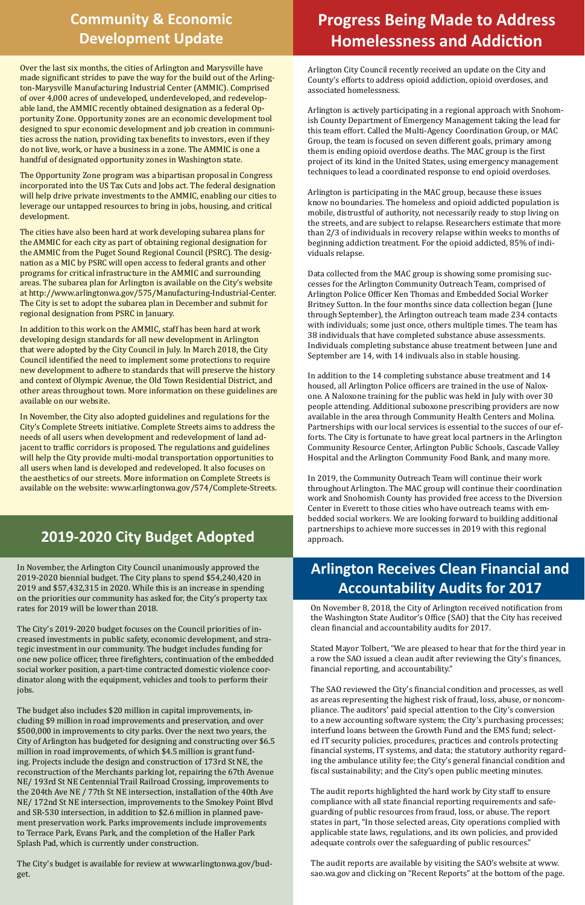## **Progress Being Made to Address Homelessness and Addiction**

## **Community & Economic Development Update**

Over the last six months, the cities of Arlington and Marysville have made significant strides to pave the way for the build out of the Arlington-Marysville Manufacturing Industrial Center (AMMIC). Comprised of over 4,000 acres of undeveloped, underdeveloped, and redevelopable land, the AMMIC recently obtained designation as a federal Opportunity Zone. Opportunity zones are an economic development tool designed to spur economic development and job creation in communities across the nation, providing tax benefits to investors, even if they do not live, work, or have a business in a zone. The AMMIC is one a handful of designated opportunity zones in Washington state.

The Opportunity Zone program was a bipartisan proposal in Congress incorporated into the US Tax Cuts and Jobs act. The federal designation will help drive private investments to the AMMIC, enabling our cities to leverage our untapped resources to bring in jobs, housing, and critical development.

The cities have also been hard at work developing subarea plans for the AMMIC for each city as part of obtaining regional designation for the AMMIC from the Puget Sound Regional Council (PSRC). The designation as a MIC by PSRC will open access to federal grants and other programs for critical infrastructure in the AMMIC and surrounding areas. The subarea plan for Arlington is available on the City's website at http://www.arlingtonwa.gov/575/Manufacturing-Industrial-Center. The City is set to adopt the subarea plan in December and submit for regional designation from PSRC in January.

In addition to this work on the AMMIC, staff has been hard at work developing design standards for all new development in Arlington that were adopted by the City Council in July. In March 2018, the City Council identified the need to implement some protections to require new development to adhere to standards that will preserve the history and context of Olympic Avenue, the Old Town Residential District, and other areas throughout town. More information on these guidelines are available on our website.

In November, the City also adopted guidelines and regulations for the City's Complete Streets initiative. Complete Streets aims to address the needs of all users when development and redevelopment of land adjacent to traffic corridors is proposed. The regulations and guidelines will help the City provide multi-modal transportation opportunities to all users when land is developed and redeveloped. It also focuses on the aesthetics of our streets. More information on Complete Streets is available on the website: www.arlingtonwa.gov/574/Complete-Streets.

## **2019-2020 City Budget Adopted Partnerships 2019-2020 City Budget Adopted**

In 2019, the Community Outreach Team will continue their work throughout Arlington. The MAC group will continue their coordination work and Snohomish County has provided free access to the Diversion Center in Everett to those cities who have outreach teams with embedded social workers. We are looking forward to building additional partnerships to achieve more successes in 2019 with this regional

Arlington City Council recently received an update on the City and County's efforts to address opioid addiction, opioid overdoses, and associated homelessness.

Arlington is actively participating in a regional approach with Snohomish County Department of Emergency Management taking the lead for this team effort. Called the Multi-Agency Coordination Group, or MAC Group, the team is focused on seven different goals, primary among them is ending opioid overdose deaths. The MAC group is the first project of its kind in the United States, using emergency management techniques to lead a coordinated response to end opioid overdoses.

Arlington is participating in the MAC group, because these issues know no boundaries. The homeless and opioid addicted population is mobile, distrustful of authority, not necessarily ready to stop living on the streets, and are subject to relapse. Researchers estimate that more than 2/3 of individuals in recovery relapse within weeks to months of beginning addiction treatment. For the opioid addicted, 85% of individuals relapse.

Data collected from the MAC group is showing some promising successes for the Arlington Community Outreach Team, comprised of Arlington Police Officer Ken Thomas and Embedded Social Worker Britney Sutton. In the four months since data collection began (June through September), the Arlington outreach team made 234 contacts with individuals; some just once, others multiple times. The team has 38 individuals that have completed substance abuse assessments. Individuals completing substance abuse treatment between June and September are 14, with 14 indivuals also in stable housing.

In addition to the 14 completing substance abuse treatment and 14 housed, all Arlington Police officers are trained in the use of Naloxone. A Naloxone training for the public was held in July with over 30 people attending. Additional suboxone prescribing providers are now available in the area through Community Health Centers and Molina. Partnerships with our local services is essential to the succes of our efforts. The City is fortunate to have great local partners in the Arlington Community Resource Center, Arlington Public Schools, Cascade Valley Hospital and the Arlington Community Food Bank, and many more.

In November, the Arlington City Council unanimously approved the 2019-2020 biennial budget. The City plans to spend \$54,240,420 in 2019 and \$57,432,315 in 2020. While this is an increase in spending on the priorities our community has asked for, the City's property tax rates for 2019 will be lower than 2018.

The City's 2019-2020 budget focuses on the Council priorities of increased investments in public safety, economic development, and strategic investment in our community. The budget includes funding for one new police officer, three firefighters, continuation of the embedded social worker position, a part-time contracted domestic violence coordinator along with the equipment, vehicles and tools to perform their jobs.

The budget also includes \$20 million in capital improvements, including \$9 million in road improvements and preservation, and over \$500,000 in improvements to city parks. Over the next two years, the City of Arlington has budgeted for designing and constructing over \$6.5 million in road improvements, of which \$4.5 million is grant funding. Projects include the design and construction of 173rd St NE, the reconstruction of the Merchants parking lot, repairing the 67th Avenue NE/ 193rd St NE Centennial Trail Railroad Crossing, improvements to the 204th Ave NE / 77th St NE intersection, installation of the 40th Ave NE/ 172nd St NE intersection, improvements to the Smokey Point Blvd and SR-530 intersection, in addition to \$2.6 million in planned pavement preservation work. Parks improvements include improvements to Terrace Park, Evans Park, and the completion of the Haller Park Splash Pad, which is currently under construction.

The City's budget is available for review at www.arlingtonwa.gov/budget.

## **Arlington Receives Clean Financial and Accountability Audits for 2017**

On November 8, 2018, the City of Arlington received notification from the Washington State Auditor's Office (SAO) that the City has received clean financial and accountability audits for 2017.

Stated Mayor Tolbert, "We are pleased to hear that for the third year in a row the SAO issued a clean audit after reviewing the City's finances, financial reporting, and accountability."

The SAO reviewed the City's financial condition and processes, as well

as areas representing the highest risk of fraud, loss, abuse, or noncompliance. The auditors' paid special attention to the City's conversion to a new accounting software system; the City's purchasing processes; interfund loans between the Growth Fund and the EMS fund; selected IT security policies, procedures, practices and controls protecting financial systems, IT systems, and data; the statutory authority regarding the ambulance utility fee; the City's general financial condition and fiscal sustainability; and the City's open public meeting minutes.

The audit reports highlighted the hard work by City staff to ensure compliance with all state financial reporting requirements and safeguarding of public resources from fraud, loss, or abuse. The report states in part, "In those selected areas, City operations complied with applicable state laws, regulations, and its own policies, and provided adequate controls over the safeguarding of public resources."

The audit reports are available by visiting the SAO's website at www. sao.wa.gov and clicking on "Recent Reports" at the bottom of the page.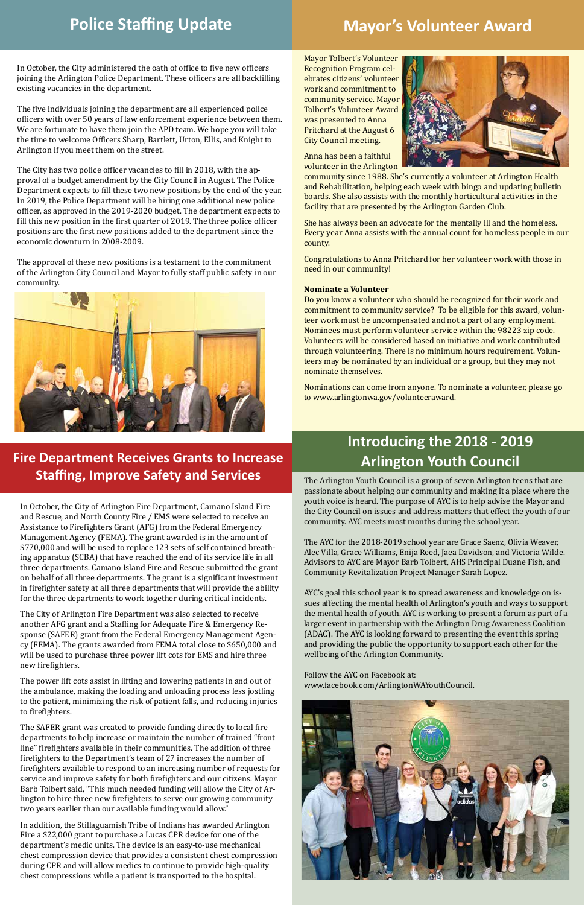## **Introducing the 2018 - 2019**

**Arlington Youth Council Fire Department Receives Grants to Increase Staffing, Improve Safety and Services** The Arlington Youth Council is a group of seven Arlington teens that are

passionate about helping our community and making it a place where the youth voice is heard. The purpose of AYC is to help advise the Mayor and the City Council on issues and address matters that effect the youth of our community. AYC meets most months during the school year.

The AYC for the 2018-2019 school year are Grace Saenz, Olivia Weaver, Alec Villa, Grace Williams, Enija Reed, Jaea Davidson, and Victoria Wilde. Advisors to AYC are Mayor Barb Tolbert, AHS Principal Duane Fish, and Community Revitalization Project Manager Sarah Lopez.

AYC's goal this school year is to spread awareness and knowledge on issues affecting the mental health of Arlington's youth and ways to support the mental health of youth. AYC is working to present a forum as part of a larger event in partnership with the Arlington Drug Awareness Coalition (ADAC). The AYC is looking forward to presenting the event this spring and providing the public the opportunity to support each other for the wellbeing of the Arlington Community.

Follow the AYC on Facebook at: www.facebook.com/ArlingtonWAYouthCouncil.

Mayor Tolbert's Volunteer Recognition Program celebrates citizens' volunteer work and commitment to community service. Mayor Tolbert's Volunteer Award was presented to Anna Pritchard at the August 6 City Council meeting.

Anna has been a faithful volunteer in the Arlington



community since 1988. She's currently a volunteer at Arlington Health and Rehabilitation, helping each week with bingo and updating bulletin boards. She also assists with the monthly horticultural activities in the facility that are presented by the Arlington Garden Club.

She has always been an advocate for the mentally ill and the homeless. Every year Anna assists with the annual count for homeless people in our county.

Congratulations to Anna Pritchard for her volunteer work with those in need in our community!

#### **Nominate a Volunteer**

Do you know a volunteer who should be recognized for their work and commitment to community service? To be eligible for this award, volunteer work must be uncompensated and not a part of any employment. Nominees must perform volunteer service within the 98223 zip code. Volunteers will be considered based on initiative and work contributed through volunteering. There is no minimum hours requirement. Volunteers may be nominated by an individual or a group, but they may not nominate themselves.

Nominations can come from anyone. To nominate a volunteer, please go to www.arlingtonwa.gov/volunteeraward.

## **Mayor's Volunteer Award**

In October, the City administered the oath of office to five new officers joining the Arlington Police Department. These officers are all backfilling existing vacancies in the department.

The five individuals joining the department are all experienced police officers with over 50 years of law enforcement experience between them. We are fortunate to have them join the APD team. We hope you will take the time to welcome Officers Sharp, Bartlett, Urton, Ellis, and Knight to Arlington if you meet them on the street.

The City has two police officer vacancies to fill in 2018, with the approval of a budget amendment by the City Council in August. The Police Department expects to fill these two new positions by the end of the year. In 2019, the Police Department will be hiring one additional new police officer, as approved in the 2019-2020 budget. The department expects to fill this new position in the first quarter of 2019. The three police officer positions are the first new positions added to the department since the economic downturn in 2008-2009.

The approval of these new positions is a testament to the commitment of the Arlington City Council and Mayor to fully staff public safety in our community.



## **Police Staffing Update**

In October, the City of Arlington Fire Department, Camano Island Fire and Rescue, and North County Fire / EMS were selected to receive an Assistance to Firefighters Grant (AFG) from the Federal Emergency Management Agency (FEMA). The grant awarded is in the amount of \$770,000 and will be used to replace 123 sets of self contained breathing apparatus (SCBA) that have reached the end of its service life in all three departments. Camano Island Fire and Rescue submitted the grant on behalf of all three departments. The grant is a significant investment in firefighter safety at all three departments that will provide the ability for the three departments to work together during critical incidents.

The City of Arlington Fire Department was also selected to receive another AFG grant and a Staffing for Adequate Fire & Emergency Response (SAFER) grant from the Federal Emergency Management Agency (FEMA). The grants awarded from FEMA total close to \$650,000 and will be used to purchase three power lift cots for EMS and hire three new firefighters.

The power lift cots assist in lifting and lowering patients in and out of the ambulance, making the loading and unloading process less jostling

to the patient, minimizing the risk of patient falls, and reducing injuries to firefighters.

The SAFER grant was created to provide funding directly to local fire departments to help increase or maintain the number of trained "front line" firefighters available in their communities. The addition of three firefighters to the Department's team of 27 increases the number of firefighters available to respond to an increasing number of requests for service and improve safety for both firefighters and our citizens. Mayor Barb Tolbert said, "This much needed funding will allow the City of Arlington to hire three new firefighters to serve our growing community two years earlier than our available funding would allow."

In addition, the Stillaguamish Tribe of Indians has awarded Arlington Fire a \$22,000 grant to purchase a Lucas CPR device for one of the department's medic units. The device is an easy-to-use mechanical chest compression device that provides a consistent chest compression during CPR and will allow medics to continue to provide high-quality chest compressions while a patient is transported to the hospital.